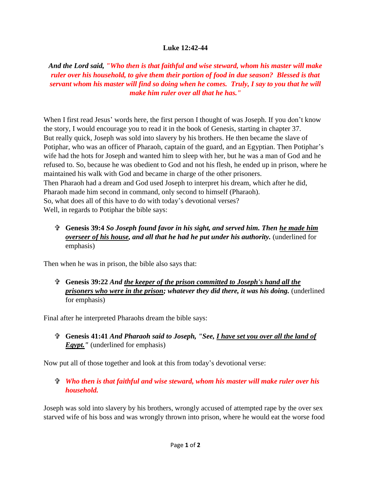#### **Luke 12:42-44**

*And the Lord said, "Who then is that faithful and wise steward, whom his master will make ruler over his household, to give them their portion of food in due season? Blessed is that servant whom his master will find so doing when he comes. Truly, I say to you that he will make him ruler over all that he has."*

When I first read Jesus' words here, the first person I thought of was Joseph. If you don't know the story, I would encourage you to read it in the book of Genesis, starting in chapter 37. But really quick, Joseph was sold into slavery by his brothers. He then became the slave of Potiphar, who was an officer of Pharaoh, captain of the guard, and an Egyptian. Then Potiphar's wife had the hots for Joseph and wanted him to sleep with her, but he was a man of God and he refused to. So, because he was obedient to God and not his flesh, he ended up in prison, where he maintained his walk with God and became in charge of the other prisoners. Then Pharaoh had a dream and God used Joseph to interpret his dream, which after he did, Pharaoh made him second in command, only second to himself (Pharaoh). So, what does all of this have to do with today's devotional verses? Well, in regards to Potiphar the bible says:

## **Genesis 39:4** *So Joseph found favor in his sight, and served him. Then he made him overseer of his house, and all that he had he put under his authority.* (underlined for emphasis)

Then when he was in prison, the bible also says that:

## **Genesis 39:22** *And the keeper of the prison committed to Joseph's hand all the prisoners who were in the prison; whatever they did there, it was his doing.* (underlined for emphasis)

Final after he interpreted Pharaohs dream the bible says:

# **Genesis 41:41** *And Pharaoh said to Joseph, "See, I have set you over all the land of Egypt.*" (underlined for emphasis)

Now put all of those together and look at this from today's devotional verse:

### *Who then is that faithful and wise steward, whom his master will make ruler over his household.*

Joseph was sold into slavery by his brothers, wrongly accused of attempted rape by the over sex starved wife of his boss and was wrongly thrown into prison, where he would eat the worse food